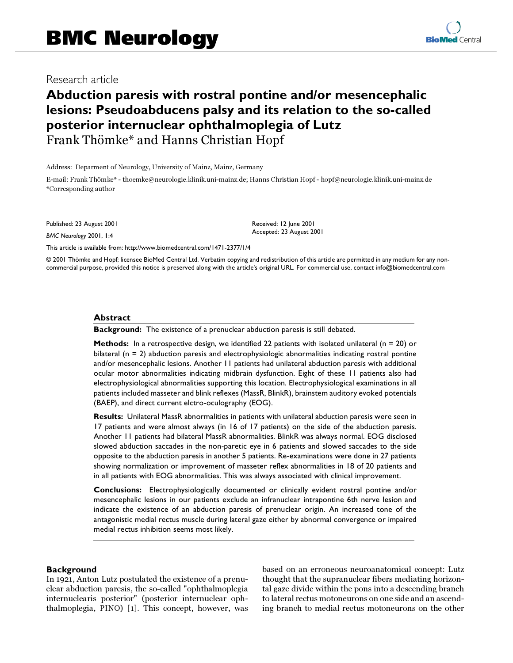# Research article<br>And I :4 Research article

## **Abduction paresis with rostral pontine and/or mesencephalic lesions: Pseudoabducens palsy and its relation to the so-called posterior internuclear ophthalmoplegia of Lutz** Frank Thömke\* and Hanns Christian Hopf

Address: Deparment of Neurology, University of Mainz, Mainz, Germany

E-mail: Frank Thömke\* - thoemke@neurologie.klinik.uni-mainz.de; Hanns Christian Hopf - hopf@neurologie.klinik.uni-mainz.de \*Corresponding author

Published: 23 August 2001

*BMC Neurology* 2001, **1**:4

Received: 12 June 2001 Accepted: 23 August 2001

[This article is available from: http://www.biomedcentral.com/1471-2377/1/4](http://www.biomedcentral.com/1471-2377/1/4)

© 2001 Thömke and Hopf; licensee BioMed Central Ltd. Verbatim copying and redistribution of this article are permitted in any medium for any noncommercial purpose, provided this notice is preserved along with the article's original URL. For commercial use, contact info@biomedcentral.com

#### **Abstract**

**Background:** The existence of a prenuclear abduction paresis is still debated.

**Methods:** In a retrospective design, we identified 22 patients with isolated unilateral (n = 20) or bilateral  $(n = 2)$  abduction paresis and electrophysiologic abnormalities indicating rostral pontine and/or mesencephalic lesions. Another 11 patients had unilateral abduction paresis with additional ocular motor abnormalities indicating midbrain dysfunction. Eight of these 11 patients also had electrophysiological abnormalities supporting this location. Electrophysiological examinations in all patients included masseter and blink reflexes (MassR, BlinkR), brainstem auditory evoked potentials (BAEP), and direct current elctro-oculography (EOG).

**Results:** Unilateral MassR abnormalities in patients with unilateral abduction paresis were seen in 17 patients and were almost always (in 16 of 17 patients) on the side of the abduction paresis. Another 11 patients had bilateral MassR abnormalities. BlinkR was always normal. EOG disclosed slowed abduction saccades in the non-paretic eye in 6 patients and slowed saccades to the side opposite to the abduction paresis in another 5 patients. Re-examinations were done in 27 patients showing normalization or improvement of masseter reflex abnormalities in 18 of 20 patients and in all patients with EOG abnormalities. This was always associated with clinical improvement.

**Conclusions:** Electrophysiologically documented or clinically evident rostral pontine and/or mesencephalic lesions in our patients exclude an infranuclear intrapontine 6th nerve lesion and indicate the existence of an abduction paresis of prenuclear origin. An increased tone of the antagonistic medial rectus muscle during lateral gaze either by abnormal convergence or impaired medial rectus inhibition seems most likely.

#### **Background**

In 1921, Anton Lutz postulated the existence of a prenuclear abduction paresis, the so-called "ophthalmoplegia internuclearis posterior" (posterior internuclear ophthalmoplegia, PINO) [[1](#page-6-0)]. This concept, however, was based on an erroneous neuroanatomical concept: Lutz thought that the supranuclear fibers mediating horizontal gaze divide within the pons into a descending branch to lateral rectus motoneurons on one side and an ascending branch to medial rectus motoneurons on the other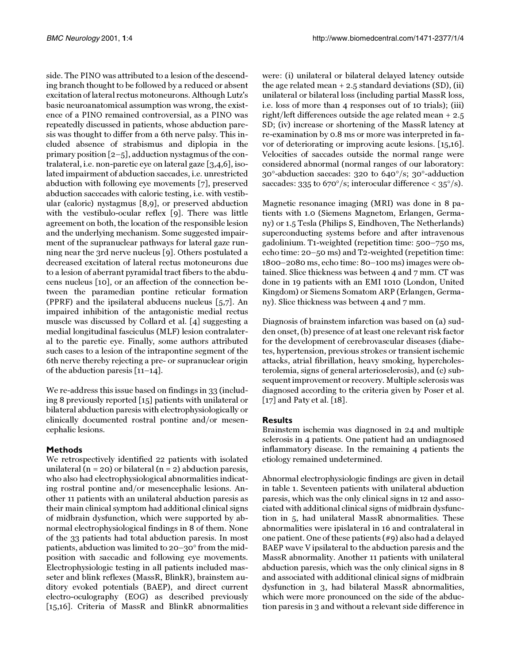side. The PINO was attributed to a lesion of the descending branch thought to be followed by a reduced or absent excitation of lateral rectus motoneurons. Although Lutz's basic neuroanatomical assumption was wrong, the existence of a PINO remained controversial, as a PINO was repeatedly discussed in patients, whose abduction paresis was thought to differ from a 6th nerve palsy. This included absence of strabismus and diplopia in the primary position [\[2](#page-6-1)[–5](#page-7-0)], adduction nystagmus of the contralateral, i.e. non-paretic eye on lateral gaze [\[3,](#page-6-2)[4](#page-6-3)[,6\]](#page-7-1), isolated impairment of abduction saccades, i.e. unrestricted abduction with following eye movements [[7\]](#page-7-2), preserved abduction sacccades with caloric testing, i.e. with vestibular (caloric) nystagmus [[8](#page-7-3)[,9\]](#page-7-4), or preserved abduction with the vestibulo-ocular reflex [\[9](#page-7-4)]. There was little agreement on both, the location of the responsible lesion and the underlying mechanism. Some suggested impairment of the supranuclear pathways for lateral gaze running near the 3rd nerve nucleus [[9](#page-7-4)]. Others postulated a decreased excitation of lateral rectus motoneurons due to a lesion of aberrant pyramidal tract fibers to the abducens nucleus [\[10](#page-7-5)], or an affection of the connection between the paramedian pontine reticular formation (PPRF) and the ipsilateral abducens nucleus [[5](#page-7-0),[7\]](#page-7-2). An impaired inhibition of the antagonistic medial rectus muscle was discussed by Collard et al. [[4](#page-6-3)] suggesting a medial longitudinal fasciculus (MLF) lesion contralateral to the paretic eye. Finally, some authors attributed such cases to a lesion of the intrapontine segment of the 6th nerve thereby rejecting a pre- or supranuclear origin of the abduction paresis [[11](#page-7-6)–[14](#page-7-7)].

We re-address this issue based on findings in 33 (including 8 previously reported [\[15\]](#page-7-8) patients with unilateral or bilateral abduction paresis with electrophysiologically or clinically documented rostral pontine and/or mesencephalic lesions.

## **Methods**

We retrospectively identified 22 patients with isolated unilateral ( $n = 20$ ) or bilateral ( $n = 2$ ) abduction paresis, who also had electrophysiological abnormalities indicating rostral pontine and/or mesencephalic lesions. Another 11 patients with an unilateral abduction paresis as their main clinical symptom had additional clinical signs of midbrain dysfunction, which were supported by abnormal electrophysiological findings in 8 of them. None of the 33 patients had total abduction paresis. In most patients, abduction was limited to 20–30° from the midposition with saccadic and following eye movements. Electrophysiologic testing in all patients included masseter and blink reflexes (MassR, BlinkR), brainstem auditory evoked potentials (BAEP), and direct current electro-oculography (EOG) as described previously [[15](#page-7-8),[16](#page-7-9)]. Criteria of MassR and BlinkR abnormalities were: (i) unilateral or bilateral delayed latency outside the age related mean  $+2.5$  standard deviations (SD), (ii) unilateral or bilateral loss (including partial MassR loss, i.e. loss of more than 4 responses out of 10 trials); (iii) right/left differences outside the age related mean + 2.5 SD; (iv) increase or shortening of the MassR latency at re-examination by 0.8 ms or more was interpreted in favor of deteriorating or improving acute lesions. [\[15](#page-7-8)[,16\]](#page-7-9). Velocities of saccades outside the normal range were considered abnormal (normal ranges of our laboratory: 30°-abduction saccades: 320 to 640°/s; 30°-adduction saccades: 335 to 670 $\degree$ /s; interocular difference < 35 $\degree$ /s).

Magnetic resonance imaging (MRI) was done in 8 patients with 1.0 (Siemens Magnetom, Erlangen, Germany) or 1.5 Tesla (Philips S, Eindhoven, The Netherlands) superconducting systems before and after intravenous gadolinium. T1-weighted (repetition time: 500–750 ms, echo time: 20–50 ms) and T2-weighted (repetition time: 1800–2080 ms, echo time: 80–100 ms) images were obtained. Slice thickness was between 4 and 7 mm. CT was done in 19 patients with an EMI 1010 (London, United Kingdom) or Siemens Somatom ARP (Erlangen, Germany). Slice thickness was between 4 and 7 mm.

Diagnosis of brainstem infarction was based on (a) sudden onset, (b) presence of at least one relevant risk factor for the development of cerebrovascular diseases (diabetes, hypertension, previous strokes or transient ischemic attacks, atrial fibrillation, heavy smoking, hypercholesterolemia, signs of general arteriosclerosis), and (c) subsequent improvement or recovery. Multiple sclerosis was diagnosed according to the criteria given by Poser et al. [[17\]](#page-7-10) and Paty et al. [\[18](#page-7-11)].

## **Results**

<span id="page-1-0"></span>Brainstem ischemia was diagnosed in 24 and multiple sclerosis in 4 patients. One patient had an undiagnosed inflammatory disease. In the remaining 4 patients the etiology remained undetermined.

Abnormal electrophysiologic findings are given in detail in table [1](#page-1-0). Seventeen patients with unilateral abduction paresis, which was the only clinical signs in 12 and associated with additional clinical signs of midbrain dysfunction in 5, had unilateral MassR abnormalities. These abnormalities were ipislateral in 16 and contralateral in one patient. One of these patients (#9) also had a delayed BAEP wave V ipsilateral to the abduction paresis and the MassR abnormality. Another 11 patients with unilateral abduction paresis, which was the only clinical signs in 8 and associated with additional clinical signs of midbrain dysfunction in 3, had bilateral MassR abnormalities, which were more pronounced on the side of the abduction paresis in 3 and without a relevant side difference in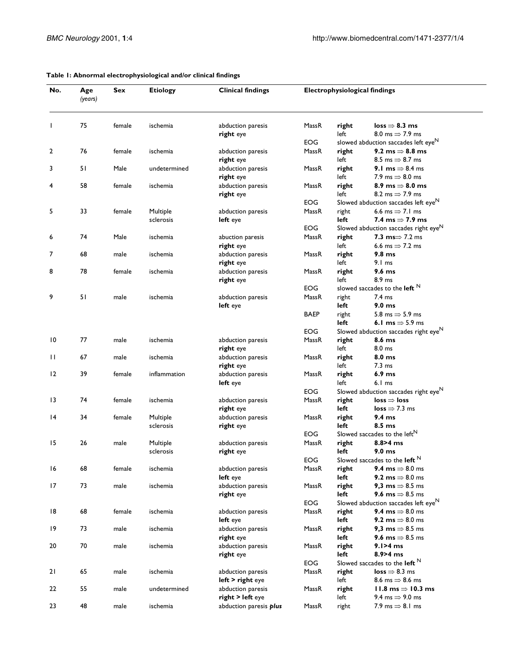| No. | Age<br>(years) | Sex    | <b>Etiology</b> | <b>Clinical findings</b>              | <b>Electrophysiological findings</b> |               |                                                                                |
|-----|----------------|--------|-----------------|---------------------------------------|--------------------------------------|---------------|--------------------------------------------------------------------------------|
| J.  | 75             | female | ischemia        | abduction paresis<br>right eye        | MassR                                | right<br>left | $loss \Rightarrow 8.3 ms$<br>8.0 ms $\Rightarrow$ 7.9 ms                       |
|     |                |        |                 |                                       | <b>EOG</b>                           |               | slowed abduction saccades left eye <sup>N</sup>                                |
| 2   | 76             | female | ischemia        | abduction paresis                     | MassR                                | right         | 9.2 ms $\Rightarrow$ 8.8 ms                                                    |
|     |                |        |                 | right eye                             |                                      | left          | 8.5 ms $\Rightarrow$ 8.7 ms                                                    |
| 3   | 51             | Male   | undetermined    | abduction paresis                     | MassR                                | right         | 9.1 ms $\Rightarrow$ 8.4 ms                                                    |
|     |                |        |                 | right eye                             |                                      | left          | 7.9 ms $\Rightarrow$ 8.0 ms                                                    |
| 4   | 58             | female | ischemia        | abduction paresis                     | MassR                                | right         | 8.9 ms $\Rightarrow$ 8.0 ms                                                    |
|     |                |        |                 | right eye                             |                                      | left          | 8.2 ms $\Rightarrow$ 7.9 ms<br>Slowed abduction saccades left eye <sup>N</sup> |
|     | 33             | female | Multiple        |                                       | EOG<br>MassR                         |               | 6.6 ms $\Rightarrow$ 7.1 ms                                                    |
| 5   |                |        | sclerosis       | abduction paresis<br>left eye         |                                      | right<br>left | 7.4 ms $\Rightarrow$ 7.9 ms                                                    |
|     |                |        |                 |                                       | EOG                                  |               | Slowed abduction saccades right $eye^N$                                        |
| 6   | 74             | Male   | ischemia        | abuction paresis                      | MassR                                | right         | 7.3 $ms \Rightarrow 7.2 ms$                                                    |
|     |                |        |                 | right eye                             |                                      | left          | 6.6 ms $\Rightarrow$ 7.2 ms                                                    |
| 7   | 68             | male   | ischemia        | abduction paresis                     | MassR                                | right         | 9.8 <sub>ms</sub>                                                              |
|     |                |        |                 | right eye                             |                                      | left          | $9.1 \text{ ms}$                                                               |
| 8   | 78             | female | ischemia        | abduction paresis                     | MassR                                | right         | 9.6 <sub>ms</sub>                                                              |
|     |                |        |                 | right eye                             |                                      | left          | 8.9 ms                                                                         |
|     |                |        |                 |                                       | <b>EOG</b>                           |               | slowed saccades to the left $N$                                                |
| 9   | 51             | male   | ischemia        | abduction paresis                     | MassR                                | right         | $7.4 \text{ ms}$                                                               |
|     |                |        |                 | left eye                              |                                      | left          | 9.0 <sub>ms</sub>                                                              |
|     |                |        |                 |                                       | <b>BAEP</b>                          | right         | 5.8 ms $\Rightarrow$ 5.9 ms                                                    |
|     |                |        |                 |                                       |                                      | left          | 6.1 ms $\Rightarrow$ 5.9 ms                                                    |
|     |                |        |                 |                                       | EOG                                  |               | Slowed abduction saccades right eyeN                                           |
| 10  | 77             | male   | ischemia        | abduction paresis                     | MassR                                | right         | 8.6 <sub>ms</sub>                                                              |
|     |                |        |                 | right eye                             |                                      | left          | 8.0 ms                                                                         |
| П   | 67             | male   | ischemia        | abduction paresis                     | MassR                                | right         | 8.0 ms                                                                         |
|     |                |        |                 | right eye                             |                                      | left          | $7.3 \text{ ms}$                                                               |
| 12  | 39             | female | inflammation    | abduction paresis<br>left eye         | MassR                                | right<br>left | 6.9 <sub>ms</sub><br>6.1 <sub>ms</sub>                                         |
|     |                |        |                 |                                       | <b>EOG</b>                           |               | Slowed abduction saccades right eye <sup>N</sup>                               |
| 13  | 74             | female | ischemia        | abduction paresis                     | MassR                                | right         | $loss \Rightarrow loss$                                                        |
|     |                |        |                 | right eye                             |                                      | left          | $loss \Rightarrow 7.3$ ms                                                      |
| 14  | 34             | female | Multiple        | abduction paresis                     | MassR                                | right         | 9.4 <sub>ms</sub>                                                              |
|     |                |        | sclerosis       | right eye                             |                                      | left          | 8.5 ms                                                                         |
|     |                |        |                 |                                       | <b>EOG</b>                           |               | Slowed saccades to the left <sup>N</sup>                                       |
| 15  | 26             | male   | Multiple        | abduction paresis                     | MassR                                | right         | $8.8 > 4$ ms                                                                   |
|     |                |        | sclerosis       | right eye                             |                                      | left          | 9.0 <sub>ms</sub>                                                              |
|     |                |        |                 |                                       | EOG                                  |               | Slowed saccades to the left $N$                                                |
| 16  | 68             | female | ischemia        | abduction paresis                     | MassR                                | right         | 9.4 ms $\Rightarrow$ 8.0 ms                                                    |
|     |                |        |                 | left eye                              |                                      | left          | 9.2 ms $\Rightarrow$ 8.0 ms                                                    |
| 17  | 73             | male   | ischemia        | abduction paresis                     | MassR                                | right         | 9.3 ms $\Rightarrow$ 8.5 ms                                                    |
|     |                |        |                 | right eye                             |                                      | left          | 9.6 ms $\Rightarrow$ 8.5 ms                                                    |
|     |                |        |                 |                                       | EOG.                                 |               | Slowed abduction saccades left eye <sup>N</sup>                                |
| 18  | 68             | female | ischemia        | abduction paresis                     | MassR                                | right         | 9.4 ms $\Rightarrow$ 8.0 ms                                                    |
|     |                |        |                 | left eye                              |                                      | left          | 9.2 ms $\Rightarrow$ 8.0 ms                                                    |
| 19  | 73             | male   | ischemia        | abduction paresis                     | MassR                                | right         | 9,3 ms $\Rightarrow$ 8.5 ms                                                    |
|     |                |        |                 | right eye                             |                                      | left          | 9.6 ms $\Rightarrow$ 8.5 ms                                                    |
| 20  | 70             | male   | ischemia        | abduction paresis                     | MassR                                | right         | $9.1 > 4$ ms<br>$8.9 > 4$ ms                                                   |
|     |                |        |                 | right eye                             |                                      | left          | Slowed saccades to the left $N$                                                |
|     | 65             |        |                 |                                       | EOG                                  | right         | $loss \Rightarrow 8.3$ ms                                                      |
| 21  |                | male   | ischemia        | abduction paresis<br>left > right eye | MassR                                | left          | 8.6 ms $\Rightarrow$ 8.6 ms                                                    |
| 22  | 55             | male   | undetermined    | abduction paresis                     | MassR                                | right         | 11.8 ms $\Rightarrow$ 10.3 ms                                                  |
|     |                |        |                 | right > left eye                      |                                      | left          | 9.4 ms $\Rightarrow$ 9.0 ms                                                    |
| 23  | 48             | male   | ischemia        | abduction paresis plus                | MassR                                | right         | 7.9 ms $\Rightarrow$ 8.1 ms                                                    |
|     |                |        |                 |                                       |                                      |               |                                                                                |

#### **Table 1: Abnormal electrophysiological and/or clinical findings**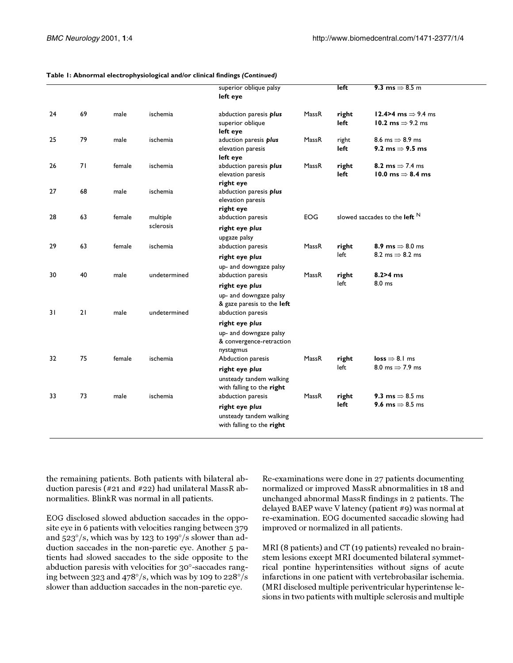|    |    |        |                       | superior oblique palsy<br>left eye                                                          |            | left          | 9.3 ms $\Rightarrow$ 8.5 m                                     |
|----|----|--------|-----------------------|---------------------------------------------------------------------------------------------|------------|---------------|----------------------------------------------------------------|
| 24 | 69 | male   | ischemia              | abduction paresis plus<br>superior oblique<br>left eye                                      | MassR      | right<br>left | 12.4>4 ms $\Rightarrow$ 9.4 ms<br>10.2 ms $\Rightarrow$ 9.2 ms |
| 25 | 79 | male   | ischemia              | aduction paresis plus<br>elevation paresis<br>left eye                                      | MassR      | right<br>left | 8.6 ms $\Rightarrow$ 8.9 ms<br>9.2 ms $\Rightarrow$ 9.5 ms     |
| 26 | 71 | female | ischemia              | abduction paresis plus<br>elevation paresis<br>right eye                                    | MassR      | right<br>left | 8.2 ms $\Rightarrow$ 7.4 ms<br>10.0 ms $\Rightarrow$ 8.4 ms    |
| 27 | 68 | male   | ischemia              | abduction paresis plus<br>elevation paresis<br>right eye                                    |            |               |                                                                |
| 28 | 63 | female | multiple<br>sclerosis | abduction paresis<br>right eye plus                                                         | <b>EOG</b> |               | slowed saccades to the <b>left</b> $^N$                        |
| 29 | 63 | female | ischemia              | upgaze palsy<br>abduction paresis<br>right eye plus                                         | MassR      | right<br>left | 8.9 ms $\Rightarrow$ 8.0 ms<br>8.2 ms $\Rightarrow$ 8.2 ms     |
| 30 | 40 | male   | undetermined          | up- and downgaze palsy<br>abduction paresis<br>right eye plus                               | MassR      | right<br>left | $8.2 > 4$ ms<br>8.0 ms                                         |
| 31 | 21 | male   | undetermined          | up- and downgaze palsy<br>& gaze paresis to the left<br>abduction paresis                   |            |               |                                                                |
|    |    |        |                       | right eye plus<br>up- and downgaze palsy<br>& convergence-retraction<br>nystagmus           |            |               |                                                                |
| 32 | 75 | female | ischemia              | Abduction paresis<br>right eye plus<br>unsteady tandem walking<br>with falling to the right | MassR      | right<br>left | $loss \Rightarrow 8.1$ ms<br>8.0 ms $\Rightarrow$ 7.9 ms       |
| 33 | 73 | male   | ischemia              | abduction paresis<br>right eye plus<br>unsteady tandem walking<br>with falling to the right | MassR      | right<br>left | 9.3 ms $\Rightarrow$ 8.5 ms<br>9.6 ms $\Rightarrow$ 8.5 ms     |

the remaining patients. Both patients with bilateral abduction paresis (#21 and #22) had unilateral MassR abnormalities. BlinkR was normal in all patients.

EOG disclosed slowed abduction saccades in the opposite eye in 6 patients with velocities ranging between 379 and 523°/s, which was by 123 to 199°/s slower than adduction saccades in the non-paretic eye. Another 5 patients had slowed saccades to the side opposite to the abduction paresis with velocities for 30°-saccades ranging between 323 and 478°/s, which was by 109 to 228°/s slower than adduction saccades in the non-paretic eye.

Re-examinations were done in 27 patients documenting normalized or improved MassR abnormalities in 18 and unchanged abnormal MassR findings in 2 patients. The delayed BAEP wave V latency (patient #9) was normal at re-examination. EOG documented saccadic slowing had improved or normalized in all patients.

MRI (8 patients) and CT (19 patients) revealed no brainstem lesions except MRI documented bilateral symmetrical pontine hyperintensities without signs of acute infarctions in one patient with vertebrobasilar ischemia. (MRI disclosed multiple periventricular hyperintense lesions in two patients with multiple sclerosis and multiple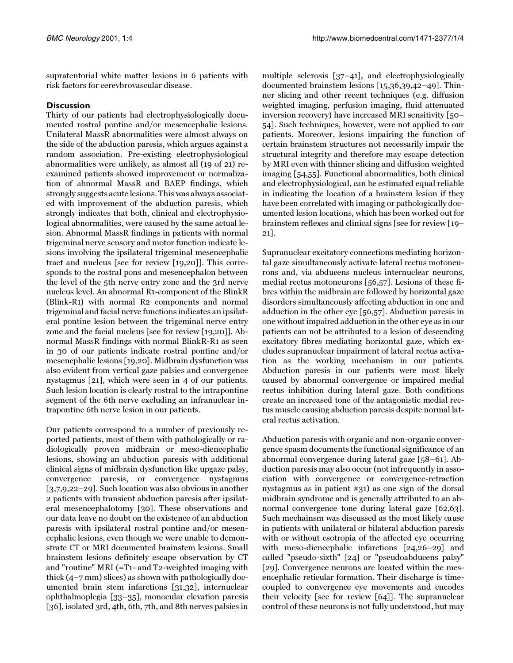supratentorial white matter lesions in 6 patients with risk factors for cerevbrovascular disease.

## **Discussion**

Thirty of our patients had electrophysiologically documented rostral pontine and/or mesencephalic lesions. Unilateral MassR abnormalities were almost always on the side of the abduction paresis, which argues against a random association. Pre-existing electrophysiological abnormalities were unlikely, as almost all (19 of 21) reexamined patients showed improvement or normalization of abnormal MassR and BAEP findings, which strongly suggests acute lesions. This was always associated with improvement of the abduction paresis, which strongly indicates that both, clinical and electrophysiological abnormalities, were caused by the same actual lesion. Abnormal MassR findings in patients with normal trigeminal nerve sensory and motor function indicate lesions involving the ipsilateral trigeminal mesencephalic tract and nucleus [see for review [[19](#page-7-12)[,20\]](#page-7-13)]. This corresponds to the rostral pons and mesencephalon between the level of the 5th nerve entry zone and the 3rd nerve nucleus level. An abnormal R1-component of the BlinkR (Blink-R1) with normal R2 components and normal trigeminal and facial nerve functions indicates an ipsilateral pontine lesion between the trigeminal nerve entry zone and the facial nucleus [see for review [\[19](#page-7-12)[,20](#page-7-13)]]. Abnormal MassR findings with normal BlinkR-R1 as seen in 30 of our patients indicate rostral pontine and/or mesencphalic lesions [[19](#page-7-12)[,20](#page-7-13)]. Midbrain dysfunction was also evident from vertical gaze palsies and convergence nystagmus [[21\]](#page-7-14), which were seen in 4 of our patients. Such lesion location is clearly rostral to the intrapontine segment of the 6th nerve excluding an infranuclear intrapontine 6th nerve lesion in our patients.

Our patients correspond to a number of previously reported patients, most of them with pathologically or radiologically proven midbrain or meso-diencephalic lesions, showing an abduction paresis with additional clinical signs of midbrain dysfunction like upgaze palsy, convergence paresis, or convergence nystagmus [[3](#page-6-2),[7](#page-7-2)[,9](#page-7-4)[,22](#page-7-15)–[29\]](#page-7-16). Such location was also obvious in another 2 patients with transient abduction paresis after ipsilateral mesencephalotomy [\[30](#page-7-17)]. These observations and our data leave no doubt on the existence of an abduction paresis with ipsilateral rostral pontine and/or mesencephalic lesions, even though we were unable to demonstrate CT or MRI documented brainstem lesions. Small brainstem lesions definitely escape observation by CT and "routine" MRI (=T1- and T2-weighted imaging with thick (4–7 mm) slices) as shown with pathologically documented brain stem infarctions [[31](#page-7-18)[,32\]](#page-7-19), internuclear ophthalmoplegia [\[33](#page-7-20)[–35\]](#page-7-21), monocular elevation paresis [[36\]](#page-7-22), isolated 3rd, 4th, 6th, 7th, and 8th nerves palsies in

multiple sclerosis [\[37](#page-7-23)[–41](#page-7-24)], and electrophysiologically documented brainstem lesions [\[15](#page-7-8)[,36](#page-7-22)[,39](#page-7-25)[,42](#page-7-26)–[49\]](#page-7-27). Thinner slicing and other recent techniques (e.g. diffusion weighted imaging, perfusion imaging, fluid attenuated inversion recovery) have increased MRI sensitivity [[50](#page-7-28)[–](#page-7-29) [54\]](#page-7-29). Such techniques, however, were not applied to our patients. Moreover, lesions impairing the function of certain brainstem structures not necessarily impair the structural integrity and therefore may escape detection by MRI even with thinner slicing and diffusion weighted imaging [\[54](#page-7-29)[,55](#page-7-30)]. Functional abnormalities, both clinical and electrophysiological, can be estimated equal reliable in indicating the location of a brainstem lesion if they have been correlated with imaging or pathologically documented lesion locations, which has been worked out for brainstem reflexes and clinical signs [see for review [\[19](#page-7-12)[–](#page-7-14) [21\]](#page-7-14).

Supranuclear excitatory connections mediating horizontal gaze simultaneously activate lateral rectus motoneurons and, via abducens nucleus internuclear neurons, medial rectus motoneurons [\[56](#page-7-31)[,57](#page-8-0)]. Lesions of these fibres within the midbrain are followed by horizontal gaze disorders simultaneously affecting abduction in one and adduction in the other eye [[56](#page-7-31)[,57](#page-8-0)]. Abduction paresis in one without impaired adduction in the other eye as in our patients can not be attributed to a lesion of descending excitatory fibres mediating horizontal gaze, which excludes supranuclear impairment of lateral rectus activation as the working mechanism in our patients. Abduction paresis in our patients were most likely caused by abnormal convergence or impaired medial rectus inhibition during lateral gaze. Both conditions create an increased tone of the antagonistic medial rectus muscle causing abduction paresis despite normal lateral rectus activation.

Abduction paresis with organic and non-organic convergence spasm documents the functional significance of an abnormal convergence during lateral gaze [\[58](#page-8-1)[–61](#page-8-2)]. Abduction paresis may also occur (not infrequently in association with convergence or convergence-retraction nystagmus as in patient #31) as one sign of the dorsal midbrain syndrome and is generally attributed to an abnormal convergence tone during lateral gaze [\[62](#page-8-3)[,63\]](#page-8-4). Such mechainsm was discussed as the most likely cause in patients with unilateral or bilateral abduction paresis with or without esotropia of the affected eye occurring with meso-diencephalic infarctions [\[24](#page-7-32)[,26–](#page-7-33)[29\]](#page-7-16) and called "pseudo-sixth" [[24\]](#page-7-32) or "pseudoabducens palsy" [[29\]](#page-7-16). Convergence neurons are located within the mesencephalic reticular formation. Their discharge is timecoupled to convergence eye movements and encodes their velocity [see for review [\[64](#page-8-5)]]. The supranuclear control of these neurons is not fully understood, but may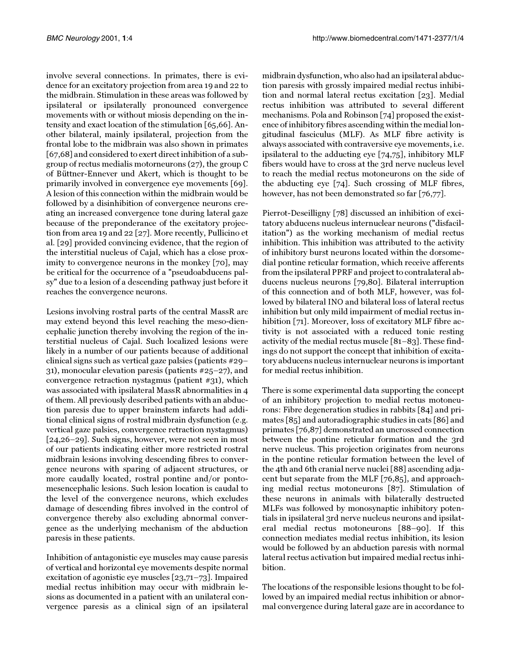involve several connections. In primates, there is evidence for an excitatory projection from area 19 and 22 to the midbrain. Stimulation in these areas was followed by ipsilateral or ipsilaterally pronounced convergence movements with or without miosis depending on the intensity and exact location of the stimulation [\[65](#page-8-6),[66\]](#page-8-7). Another bilateral, mainly ipsilateral, projection from the frontal lobe to the midbrain was also shown in primates [[67](#page-8-8),[68](#page-8-9)] and considered to exert direct inhibition of a subgroup of rectus medialis motorneurons (27), the group C of Büttner-Ennever und Akert, which is thought to be primarily involved in convergence eye movements [[69\]](#page-8-10). A lesion of this connection within the midbrain would be followed by a disinhibition of convergence neurons creating an increased convergence tone during lateral gaze because of the preponderance of the excitatory projection from area 19 and 22 [[27](#page-7-34)]. More recently, Pullicino et al. [[29\]](#page-7-16) provided convincing evidence, that the region of the interstitial nucleus of Cajal, which has a close proximity to convergence neurons in the monkey [[70](#page-8-11)], may be critical for the occurrence of a "pseudoabducens palsy" due to a lesion of a descending pathway just before it reaches the convergence neurons.

Lesions involving rostral parts of the central MassR arc may extend beyond this level reaching the meso-diencephalic junction thereby involving the region of the interstitial nucleus of Cajal. Such localized lesions were likely in a number of our patients because of additional clinical signs such as vertical gaze palsies (patients #29– 31), monocular elevation paresis (patients #25–27), and convergence retraction nystagmus (patient #31), which was associated with ipsilateral MassR abnormalities in 4 of them. All previously described patients with an abduction paresis due to upper brainstem infarcts had additional clinical signs of rostral midbrain dysfunction (e.g. vertical gaze palsies, convergence retraction nystagmus) [[24](#page-7-32)[,26](#page-7-33)–[29\]](#page-7-16). Such signs, however, were not seen in most of our patients indicating either more restricted rostral midbrain lesions involving descending fibres to convergence neurons with sparing of adjacent structures, or more caudally located, rostral pontine and/or pontomesencephalic lesions. Such lesion location is caudal to the level of the convergence neurons, which excludes damage of descending fibres involved in the control of convergence thereby also excluding abnormal convergence as the underlying mechanism of the abduction paresis in these patients.

Inhibition of antagonistic eye muscles may cause paresis of vertical and horizontal eye movements despite normal excitation of agonistic eye muscles [[23](#page-7-35)[,71](#page-8-12)[–73](#page-8-13)]. Impaired medial rectus inhibition may occur with midbrain lesions as documented in a patient with an unilateral convergence paresis as a clinical sign of an ipsilateral

midbrain dysfunction, who also had an ipsilateral abduction paresis with grossly impaired medial rectus inhibition and normal lateral rectus excitation [\[23\]](#page-7-35). Medial rectus inhibition was attributed to several different mechanisms. Pola and Robinson [\[74\]](#page-8-14) proposed the existence of inhibitory fibres ascending within the medial longitudinal fasciculus (MLF). As MLF fibre activity is always associated with contraversive eye movements, i.e. ipsilateral to the adducting eye [\[74](#page-8-14),[75](#page-8-15)], inhibitory MLF fibers would have to cross at the 3rd nerve nucleus level to reach the medial rectus motoneurons on the side of the abducting eye [\[74\]](#page-8-14). Such crossing of MLF fibres, however, has not been demonstrated so far [\[76](#page-8-16)[,77](#page-8-17)].

Pierrot-Deseilligny [\[78\]](#page-8-18) discussed an inhibition of excitatory abducens nucleus internuclear neurons ("disfacilitation") as the working mechanism of medial rectus inhibition. This inhibition was attributed to the activity of inhibitory burst neurons located within the dorsomedial pontine reticular formation, which receive afferents from the ipsilateral PPRF and project to contralateral abducens nucleus neurons [\[79,](#page-8-19)[80\]](#page-8-20). Bilateral interruption of this connection and of both MLF, however, was followed by bilateral INO and bilateral loss of lateral rectus inhibition but only mild impairment of medial rectus inhibition [[71\]](#page-8-12). Moreover, loss of excitatory MLF fibre activity is not associated with a reduced tonic resting activity of the medial rectus muscle [[81–](#page-8-21)[83](#page-8-22)]. These findings do not support the concept that inhibition of excitatory abducens nucleus internuclear neurons is important for medial rectus inhibition.

There is some experimental data supporting the concept of an inhibitory projection to medial rectus motoneurons: Fibre degeneration studies in rabbits [\[84](#page-8-23)] and primates [\[85](#page-8-24)] and autoradiographic studies in cats [\[86](#page-8-25)] and primates [[76](#page-8-16)[,87\]](#page-8-26) demonstrated an uncrossed connection between the pontine reticular formation and the 3rd nerve nucleus. This projection originates from neurons in the pontine reticular formation between the level of the 4th and 6th cranial nerve nuclei [[88](#page-8-27)] ascending adjacent but separate from the MLF [\[76](#page-8-16)[,85](#page-8-24)], and approaching medial rectus motoneurons [[87](#page-8-26)]. Stimulation of these neurons in animals with bilaterally destructed MLFs was followed by monosynaptic inhibitory potentials in ipsilateral 3rd nerve nucleus neurons and ipsilateral medial rectus motoneurons [\[88–](#page-8-27)[90](#page-8-28)]. If this connection mediates medial rectus inhibition, its lesion would be followed by an abduction paresis with normal lateral rectus activation but impaired medial rectus inhibition.

The locations of the responsible lesions thought to be followed by an impaired medial rectus inhibition or abnormal convergence during lateral gaze are in accordance to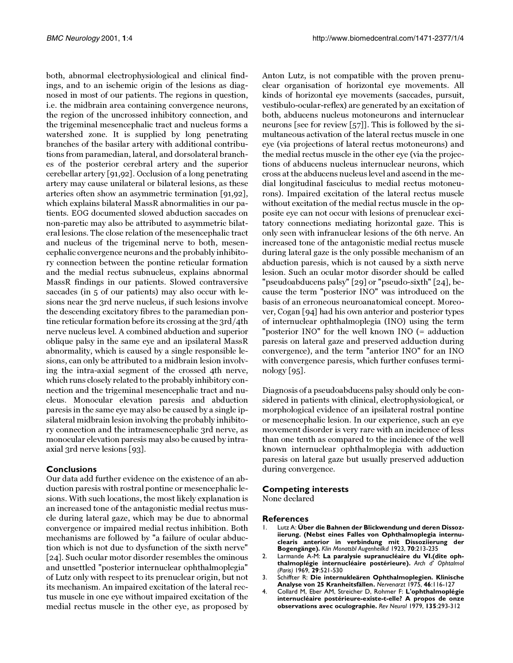both, abnormal electrophysiological and clinical findings, and to an ischemic origin of the lesions as diagnosed in most of our patients. The regions in question, i.e. the midbrain area containing convergence neurons, the region of the uncrossed inhibitory connection, and the trigeminal mesencephalic tract and nucleus forms a watershed zone. It is supplied by long penetrating branches of the basilar artery with additional contributions from paramedian, lateral, and dorsolateral branches of the posterior cerebral artery and the superior cerebellar artery [\[91](#page-8-29),[92\]](#page-8-30). Occlusion of a long penetrating artery may cause unilateral or bilateral lesions, as these arteries often show an asymmetric termination [[91](#page-8-29),[92\]](#page-8-30), which explains bilateral MassR abnormalities in our patients. EOG documented slowed abduction saccades on non-paretic may also be attributed to asymmetric bilateral lesions. The close relation of the mesencephalic tract and nucleus of the trigeminal nerve to both, mesencephalic convergence neurons and the probably inhibitory connection between the pontine reticular formation and the medial rectus subnucleus, explains abnormal MassR findings in our patients. Slowed contraversive saccades (in 5 of our patients) may also occur with lesions near the 3rd nerve nucleus, if such lesions involve the descending excitatory fibres to the paramedian pontine reticular formation before its crossing at the 3rd/4th nerve nucleus level. A combined abduction and superior oblique palsy in the same eye and an ipsilateral MassR abnormality, which is caused by a single responsible lesions, can only be attributed to a midbrain lesion involving the intra-axial segment of the crossed 4th nerve, which runs closely related to the probably inhibitory connection and the trigeminal mesencephalic tract and nucleus. Monocular elevation paresis and abduction paresis in the same eye may also be caused by a single ipsilateral midbrain lesion involving the probably inhibitory connection and the intramesencephalic 3rd nerve, as monocular elevation paresis may also be caused by intraaxial 3rd nerve lesions [\[93](#page-8-31)].

## **Conclusions**

Our data add further evidence on the existence of an abduction paresis with rostral pontine or mesencephalic lesions. With such locations, the most likely explanation is an increased tone of the antagonistic medial rectus muscle during lateral gaze, which may be due to abnormal convergence or impaired medial rectus inhibition. Both mechanisms are followed by "a failure of ocular abduction which is not due to dysfunction of the sixth nerve" [[24\]](#page-7-32). Such ocular motor disorder resembles the ominous and unsettled "posterior internuclear ophthalmoplegia" of Lutz only with respect to its prenuclear origin, but not its mechanism. An impaired excitation of the lateral rectus muscle in one eye without impaired excitation of the medial rectus muscle in the other eye, as proposed by Anton Lutz, is not compatible with the proven prenuclear organisation of horizontal eye movements. All kinds of horizontal eye movements (saccades, pursuit, vestibulo-ocular-reflex) are generated by an excitation of both, abducens nucleus motoneurons and internuclear neurons [see for review [[57\]](#page-8-0)]. This is followed by the simultaneous activation of the lateral rectus muscle in one eye (via projections of lateral rectus motoneurons) and the medial rectus muscle in the other eye (via the projections of abducens nucleus internuclear neurons, which cross at the abducens nucleus level and ascend in the medial longitudinal fasciculus to medial rectus motoneurons). Impaired excitation of the lateral rectus muscle without excitation of the medial rectus muscle in the opposite eye can not occur with lesions of prenuclear excitatory connections mediating horizontal gaze. This is only seen with infranuclear lesions of the 6th nerve. An increased tone of the antagonistic medial rectus muscle during lateral gaze is the only possible mechanism of an abduction paresis, which is not caused by a sixth nerve lesion. Such an ocular motor disorder should be called "pseudoabducens palsy" [\[29](#page-7-16)] or "pseudo-sixth" [[24\]](#page-7-32), because the term "posterior INO" was introduced on the basis of an erroneous neuroanatomical concept. Moreover, Cogan [\[94](#page-8-32)] had his own anterior and posterior types of internuclear ophthalmoplegia (INO) using the term "posterior INO" for the well known INO (= adduction paresis on lateral gaze and preserved adduction during convergence), and the term "anterior INO" for an INO with convergence paresis, which further confuses terminology [\[95\]](#page-8-33).

Diagnosis of a pseudoabducens palsy should only be considered in patients with clinical, electrophysiological, or morphological evidence of an ipsilateral rostral pontine or mesencephalic lesion. In our experience, such an eye movement disorder is very rare with an incidence of less than one tenth as compared to the incidence of the well known internuclear ophthalmoplegia with adduction paresis on lateral gaze but usually preserved adduction during convergence.

#### **Competing interests**

None declared

#### **References**

- <span id="page-6-0"></span>1. Lutz A: **Über die Bahnen der Blickwendung und deren Dissoziierung. (Nebst eines Falles von Ophthalmoplegia internuclearis anterior in verbindung mit Dissoziierung der Bogengänge).** *Klin Monatsbl Augenheilkd* 1923, **70**:213-235
- <span id="page-6-1"></span>2. Larmande A-M: **La paralysie supranucléaire du VI.(dite ophthalmoplégie internucléaire postérieure).** *Arch d' Ophtalmol (Paris)* 1969, **29**:521-530
- <span id="page-6-2"></span>3. [Schiffter R:](http://www.ncbi.nlm.nih.gov/entrez/query.fcgi?cmd=Retrieve&db=PubMed&dopt=Abstract&list_uids=1128737) **Die internukleären Ophthalmoplegien. Klinische Analyse von 25 Kranheitsfällen.** *Nervenarzt* 1975, **46**:116-127
- <span id="page-6-3"></span>4. [Collard M, Eber AM, Streicher D, Rohmer F:](http://www.ncbi.nlm.nih.gov/entrez/query.fcgi?cmd=Retrieve&db=PubMed&dopt=Abstract&list_uids=504861) **L'ophthalmoplégie internucléaire postérieure-existe-t-elle? A propos de onze observations avec oculographie.** *Rev Neurol* 1979, **135**:293-312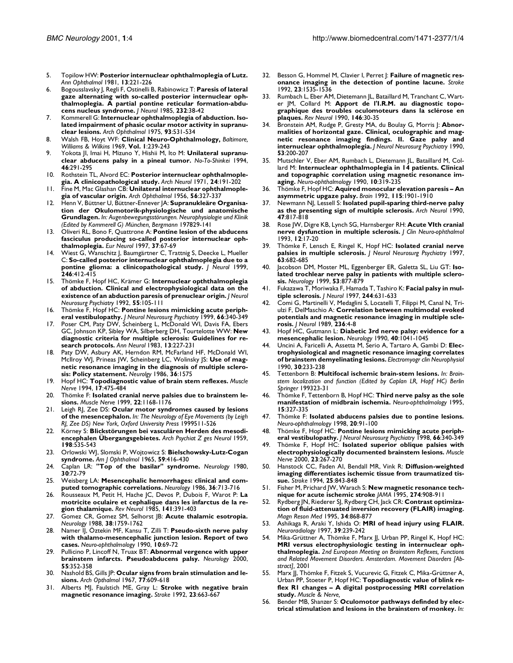- <span id="page-7-0"></span>5. [Topilow HW:](http://www.ncbi.nlm.nih.gov/entrez/query.fcgi?cmd=Retrieve&db=PubMed&dopt=Abstract&list_uids=7247181) **Posterior internuclear ophthalmoplegia of Lutz.** *Ann Ophthalmol* 1981, **13**:221-226
- <span id="page-7-1"></span>6. [Bogousslavsky J, Regli F, Ostinelli B, Rabinowicz T:](http://www.ncbi.nlm.nih.gov/entrez/query.fcgi?cmd=Retrieve&db=PubMed&dopt=Abstract&list_uids=3998774) **Paresis of lateral gaze alternating with so-called posterior internuclear ophthalmoplegia. A partial pontine reticular formation-abducens nucleus syndrome.** *J Neurol* 1985, **232**:38-42
- <span id="page-7-2"></span>7. [Kommerell G:](http://www.ncbi.nlm.nih.gov/entrez/query.fcgi?cmd=Retrieve&db=PubMed&dopt=Abstract&list_uids=1138697) **Internuclear ophthalmoplegia of abduction. Isolated impairment of phasic ocular motor activity in supranuclear lesions.** *Arch Ophthalmol* 1975, **93**:531-534
- <span id="page-7-3"></span>8. Walsh FB, Hoyt WF: **Clinical Neuro-Ophthalmology,** *Baltimore, Williams & Wilkins* 1969, **Vol. 1**:239-243
- <span id="page-7-4"></span>Yokota Jl, Imai H, Mizuno Y, Hishii M, Ito M: Unilateral supranu**clear abducens palsy in a pineal tumor.** *No-To-Shinkei* 1994, **46**:291-295
- <span id="page-7-5"></span>10. [Rothstein TL, Alvord EC:](http://www.ncbi.nlm.nih.gov/entrez/query.fcgi?cmd=Retrieve&db=PubMed&dopt=Abstract&list_uids=5544629) **Posterior internuclear ophthalmoplegia. A clinicopathological study.** *Arch Neurol* 1971, **24**:191-202
- <span id="page-7-6"></span>11. Fine M, Mac Glashan CB: **Unilateral internuclear ophthalmoplegia of vascular origin.** *Arch Ophthalmol* 1956, **56**:327-337
- 12. Henn V, Büttner U, Büttner-Ennever JA: **Supranukleäre Organisation der Okulomotorik-physiologische und anatomische Grundlagen.** *In: Augenbewegungsstörungen. Neurophysiologie und Klinik (Edited by Kommerell G) München, Bergmann* 197829-141
- 13. [Oliveri RL, Bono F, Quattrone A:](http://www.ncbi.nlm.nih.gov/entrez/query.fcgi?cmd=Retrieve&db=PubMed&dopt=Abstract&list_uids=9018039) **Pontine lesion of the abducens fasciculus producing so-called posterior internuclear ophthalmoplegia.** *Eur Neurol* 1997, **37**:67-69
- <span id="page-7-7"></span>14. [Wiest G, Wanschitz J, Baumgärtner C, Trattnig S, Deecke L, Mueller](http://www.ncbi.nlm.nih.gov/entrez/query.fcgi?cmd=Retrieve&db=PubMed&dopt=Abstract&list_uids=10399878) [C:](http://www.ncbi.nlm.nih.gov/entrez/query.fcgi?cmd=Retrieve&db=PubMed&dopt=Abstract&list_uids=10399878) **So-called posterior internuclear ophthalmoplegia due to a pontine glioma: a clinicopathological study.** *J Neurol* 1999, **246**:412-415
- <span id="page-7-8"></span>15. [Thömke F, Hopf HC, Krämer G:](http://www.ncbi.nlm.nih.gov/entrez/query.fcgi?cmd=Retrieve&db=PubMed&dopt=Abstract&list_uids=1538213) **Internuclear opththalmoplegia of abduction. Clinical and electrophysiological data on the existence of an abduction paresis of prenuclear origin.** *J Neurol Neurosurg Psychiatry* 1992, **55**:105-111
- <span id="page-7-9"></span>16. [Thömke F, Hopf HC:](http://www.ncbi.nlm.nih.gov/entrez/query.fcgi?cmd=Retrieve&db=PubMed&dopt=Abstract&list_uids=10084533) **Pontine lesions mimicking acute peripheral vestibulopathy.** *J Neurol Neurosurg Psychiatry* 1999, **66**:340-349
- <span id="page-7-10"></span>17. [Poser CM, Paty DW, Scheinberg L, McDonald WI, Davis FA, Ebers](http://www.ncbi.nlm.nih.gov/entrez/query.fcgi?cmd=Retrieve&db=PubMed&dopt=Abstract&list_uids=6847134) [GC, Johnson KP, Sibley WA, Silberberg DH, Tourtelotte WW:](http://www.ncbi.nlm.nih.gov/entrez/query.fcgi?cmd=Retrieve&db=PubMed&dopt=Abstract&list_uids=6847134) **New diagnostic criteria for multiple sclerosis: Guidelines for research protocols.** *Ann Neurol* 1983, **13**:227-231
- <span id="page-7-11"></span>18. Paty DW, Asbury AK, Herndon RM, McFarland HF, McDonald WI, McIlroy WJ, Prineas JW, Scheinberg LC, Wolinsky JS: **Use of magnetic resonance imaging in the diagnosis of multiple sclerosis: Policy statement.** *Neurolgy* 1986, **36**:1575
- <span id="page-7-12"></span>19. [Hopf HC:](http://www.ncbi.nlm.nih.gov/entrez/query.fcgi?cmd=Retrieve&db=PubMed&dopt=Abstract&list_uids=8159176) **Topodiagnostic value of brain stem reflexes.** *Muscle Nerve* 1994, **17**:475-484
- <span id="page-7-13"></span>20. [Thömke F:](http://www.ncbi.nlm.nih.gov/entrez/query.fcgi?cmd=Retrieve&db=PubMed&dopt=Abstract&list_uids=10454711) **Isolated cranial nerve palsies due to brainstem lesions.** *Muscle Nerve* 1999, **22**:1168-1176
- <span id="page-7-14"></span>21. Leigh RJ, Zee DS: **Ocular motor syndromes caused by lesions of the mesencephalon.** *In: The Neurology of Eye Movements (by Leigh RJ, Zee DS) New York, Oxford University Press* 1999511-526
- <span id="page-7-15"></span>22. Körney S: **Blickstörungen bei vasculären Herden des mesodiencephalen Übergangsgebietes.** *Arch Psychiat Z ges Neurol* 1959, **198**:535-543
- <span id="page-7-35"></span>23. Orlowski WJ, Slomski P, Wojtowicz S: **Bielschowsky-Lutz-Cogan syndrome.** *Am J Ophthalmol* 1965, **59**:416-430
- <span id="page-7-32"></span>24. [Caplan LR:](http://www.ncbi.nlm.nih.gov/entrez/query.fcgi?cmd=Retrieve&db=PubMed&dopt=Abstract&list_uids=7188637) **"Top of the basilar" syndrome.** *Neurology* 1980, **30**:72-79
- 25. [Weisberg LA:](http://www.ncbi.nlm.nih.gov/entrez/query.fcgi?cmd=Retrieve&db=PubMed&dopt=Abstract&list_uids=3703272) **Mesencephalic hemorrhages: clinical and computed tomographic correlations.** *Neurology* 1986, **36**:713-716
- <span id="page-7-33"></span>26. [Rousseaux M, Petit H, Hache JC, Devos P, Dubois F, Warot P:](http://www.ncbi.nlm.nih.gov/entrez/query.fcgi?cmd=Retrieve&db=PubMed&dopt=Abstract&list_uids=4048731) **La motricite oculaire et cephalique dans les infarctus de la region thalamique.** *Rev Neurol* 1985, **141**:391-403
- <span id="page-7-34"></span>27. [Gomez CR, Gomez SM, Selhorst JB:](http://www.ncbi.nlm.nih.gov/entrez/query.fcgi?cmd=Retrieve&db=PubMed&dopt=Abstract&list_uids=3185911) **Acute thalamic esotropia.** *Neurology* 1988, **38**:1759-1762
- 28. Namer IJ, Öztekin MF, Kansu T, Zilli T: **Pseudo-sixth nerve palsy with thalamo-mesencephalic junction lesion. Report of two cases.** *Neuro-ophthalmology* 1990, **10**:69-72
- <span id="page-7-16"></span>Pullicino P, Lincoff N, Truax BT: Abnormal vergence with upper **brainstem infarcts. Pseudoabducens palsy.** *Neurology* 2000, **55**:352-358
- <span id="page-7-17"></span>30. Nashold BS, Gills JP: **Ocular signs from brain stimulation and lesions.** *Arch Opthalmol* 1967, **77**:609-618
- <span id="page-7-18"></span>31. [Alberts MJ, Faulstich ME, Gray L:](http://www.ncbi.nlm.nih.gov/entrez/query.fcgi?cmd=Retrieve&db=PubMed&dopt=Abstract&list_uids=1579963) **Stroke with negative brain magnetic resonance imaging.** *Stroke* 1992, **23**:663-667
- <span id="page-7-19"></span>32. [Besson G, Hommel M, Clavier I, Perret J:](http://www.ncbi.nlm.nih.gov/entrez/query.fcgi?cmd=Retrieve&db=PubMed&dopt=Abstract&list_uids=1412594) **Failure of magnetic resonance imaging in the detection of pontine lacune.** *Stroke* 1992, **23**:1535-1536
- <span id="page-7-20"></span>33. [Rumbach L, Eber AM, Dietemann JL, Bataillard M, Tranchant C, Wart](http://www.ncbi.nlm.nih.gov/entrez/query.fcgi?cmd=Retrieve&db=PubMed&dopt=Abstract&list_uids=2408128)[er JM, Collard M:](http://www.ncbi.nlm.nih.gov/entrez/query.fcgi?cmd=Retrieve&db=PubMed&dopt=Abstract&list_uids=2408128) **Apport de l'I.R.M. au diagnostic topographique des troubles oculomoteurs dans la sclérose en plaques.** *Rev Neurol* 1990, **146**:30-35
- 34. [Bronstein AM, Rudge P, Gresty MA, du Boulay G, Morris J:](http://www.ncbi.nlm.nih.gov/entrez/query.fcgi?cmd=Retrieve&db=PubMed&dopt=Abstract&list_uids=2324752) **Abnormalities of horizontal gaze. Clinical, oculographic and magnetic resonance imaging findings. II. Gaze palsy and internuclear ophthalmoplegia.** *J Neurol Neurosurg Psychiatry* 1990, **53**:200-207
- <span id="page-7-21"></span>35. Mutschler V, Eber AM, Rumbach L, Dietemann JL, Bataillard M, Collard M: **Internuclear ophthalmoplegia in 14 patients. Clinical and topographic correlation using magnetic resonance imaging.** *Neuro-ophthalmology* 1990, **10**:319-235
- <span id="page-7-22"></span>36. [Thömke F, Hopf HC:](http://www.ncbi.nlm.nih.gov/entrez/query.fcgi?cmd=Retrieve&db=PubMed&dopt=Abstract&list_uids=1486467) **Aquired monocular elevation paresis – An asymmetric upgaze palsy.** *Brain* 1992, **115**:1901-1910
- <span id="page-7-23"></span>37. [Newmann NJ, Lessell S:](http://www.ncbi.nlm.nih.gov/entrez/query.fcgi?cmd=Retrieve&db=PubMed&dopt=Abstract&list_uids=2357166) **Isolated pupil-sparing third-nerve palsy as the presenting sign of multiple sclerosis.** *Arch Neurol* 1990, **47**:817-818
- 38. Rose JW, Digre KB, Lynch SG, Harnsberger RH: **Acute VIth cranial nerve dysfunction in multiple sclerosis.** *J Clin Neuro-ophthalmol* 1993, **12**:17-20
- <span id="page-7-25"></span>39. [Thömke F, Lensch E, Ringel K, Hopf HC:](http://www.ncbi.nlm.nih.gov/entrez/query.fcgi?cmd=Retrieve&db=PubMed&dopt=Abstract&list_uids=9408116) **Isolated cranial nerve palsies in multiple sclerosis.** *J Neurol Neurosurg Psychiatry* 1997, **63**:682-685
- Jacobson DM, Moster ML, Eggenberger ER, Galetta SL, Liu GT: Iso**lated trochlear nerve palsy in patients with multiple sclerosis.** *Neurology* 1999, **53**:877-879
- <span id="page-7-24"></span>41. [Fukazawa T, Moriwaka F, Hamada T, Tashiro K:](http://www.ncbi.nlm.nih.gov/entrez/query.fcgi?cmd=Retrieve&db=PubMed&dopt=Abstract&list_uids=9402539) **Facial palsy in multiple sclerosis.** *J Neurol* 1997, **244**:631-633
- <span id="page-7-26"></span>42. [Comi G, Martinelli V, Medaglini S, Locatelli T, Filippi M, Canal N, Tri](http://www.ncbi.nlm.nih.gov/entrez/query.fcgi?cmd=Retrieve&db=PubMed&dopt=Abstract&list_uids=2915225)[ulzi F, DelMaschio A:](http://www.ncbi.nlm.nih.gov/entrez/query.fcgi?cmd=Retrieve&db=PubMed&dopt=Abstract&list_uids=2915225) **Correlation between multimodal evoked potentials and magnetic resonance imaging in multiple sclerosis.** *J Neurol* 1989, **236**:4-8
- 43. [Hopf HC, Gutmann L:](http://www.ncbi.nlm.nih.gov/entrez/query.fcgi?cmd=Retrieve&db=PubMed&dopt=Abstract&list_uids=2356004) **Diabetic 3rd nerve palsy: evidence for a mesencephalic lesion.** *Neurology* 1990, **40**:1041-1045
- 44. Uncini A, Faricelli A, Assetta M, Serio A, Tartaro A, Gambi D: **Electrophysiological and magnetic resonance imaging correlates of brainstem demyelinating lesions.** *Electromyogr clin Neurophysiol* 1990, **30**:233-238
- 45. Tettenborn B: **Multifocal ischemic brain-stem lesions.** *In: Brainstem localization and function (Edited by Caplan LR, Hopf HC) Berlin Springer* 199323-31
- 46. Thömke F, Tettenborn B, Hopf HC: **Third nerve palsy as the sole manifestation of midbrain ischemia.** *Neuro-ophthalmology* 1995, **15**:327-335
- 47. Thömke F: **Isolated abducens palsies due to pontine lesions.** *Neuro-ophthalmology* 1998, **20**:91-100
- 48. Thömke F, Hopf HC: **Pontine lesions mimicking acute peripheral vestibulopathy.** *J Neurol Neurosurg Psychiatry* 1998, **66**:340-349
- <span id="page-7-27"></span>49. [Thömke F, Hopf HC:](http://www.ncbi.nlm.nih.gov/entrez/query.fcgi?cmd=Retrieve&db=PubMed&dopt=Abstract&list_uids=10639621) **Isolated superior oblique palsies with electrophysiologically documented brainstem lesions.** *Muscle Nerve* 2000, **23**:267-270
- <span id="page-7-28"></span>50. [Hanstock CC, Faden AI, Bendall MR, Vink R:](http://www.ncbi.nlm.nih.gov/entrez/query.fcgi?cmd=Retrieve&db=PubMed&dopt=Abstract&list_uids=8160231) **Diffusion-weighted imaging differentiates ischemic tissue from traumatized tissue.** *Stroke* 1994, **25**:843-848
- 51. [Fisher M, Prichard JW, Warach S:](http://www.ncbi.nlm.nih.gov/entrez/query.fcgi?cmd=Retrieve&db=PubMed&dopt=Abstract&list_uids=7674506) **New magnetic resonance technique for acute ischemic stroke** *JAMA* 1995, **274**:908-911
- 52. [Rydberg JN, Riederer SJ, Rydberg CH, Jack CR:](http://www.ncbi.nlm.nih.gov/entrez/query.fcgi?cmd=Retrieve&db=PubMed&dopt=Abstract&list_uids=8598814) **Contrast optimization of fluid-attenuated inversion recovery (FLAIR) imaging.** *Magn Reson Med* 1995, **34**:868-877
- 53. [Ashikaga R, Araki Y, Ishida O:](http://www.ncbi.nlm.nih.gov/entrez/query.fcgi?cmd=Retrieve&db=PubMed&dopt=Abstract&list_uids=9144669) **MRI of head injury using FLAIR.** *Neuroradiology* 1997, **39**:239-242
- <span id="page-7-29"></span>54. Mika-Grüttner A, Thömke F, Marx JJ, Urban PP, Ringel K, Hopf HC: **MRI versus electrophysiologic testing in internuclear ophthalmoplegia.** *2nd European Meeting on Brainstem Reflexes, Functions and Related Movement Disorders. Amsterdam. Movement Disorders [Abstract],* 2001
- <span id="page-7-30"></span>55. Marx JJ, Thömke F, Fitzek S, Vucurevic G, Fitzek C, Mika-Grüttner A, Urban PP, Stoeter P, Hopf HC: **Topodiagnostic value of blink reflex R1 changes – A digital postprocessing MRI correlation study.** *Muscle & Nerve,*
- <span id="page-7-31"></span>56. Bender MB, Shanzer S: **Oculomotor pathways definded by electrical stimulation and lesions in the brainstem of monkey.** *In:*